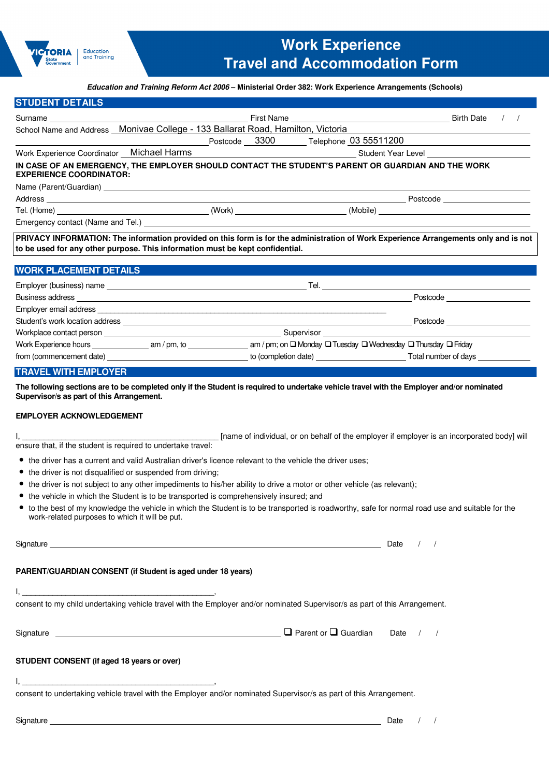

## **Education and Training Reform Act 2006 – Ministerial Order 382: Work Experience Arrangements (Schools)**

| <b>STUDENT DETAILS</b>                                                                                                                                                                                                                                                                                                                                     |  |                                                                                             |            |                                                                                                                      |  |
|------------------------------------------------------------------------------------------------------------------------------------------------------------------------------------------------------------------------------------------------------------------------------------------------------------------------------------------------------------|--|---------------------------------------------------------------------------------------------|------------|----------------------------------------------------------------------------------------------------------------------|--|
|                                                                                                                                                                                                                                                                                                                                                            |  |                                                                                             |            | <b>Birth Date</b>                                                                                                    |  |
| School Name and Address Monivae College - 133 Ballarat Road, Hamilton, Victoria                                                                                                                                                                                                                                                                            |  |                                                                                             |            |                                                                                                                      |  |
|                                                                                                                                                                                                                                                                                                                                                            |  | Postcode 3300 Telephone 03 55511200                                                         |            |                                                                                                                      |  |
| Work Experience Coordinator Michael Harms National Communication of Student Year Level _______________________                                                                                                                                                                                                                                             |  |                                                                                             |            |                                                                                                                      |  |
| IN CASE OF AN EMERGENCY, THE EMPLOYER SHOULD CONTACT THE STUDENT'S PARENT OR GUARDIAN AND THE WORK<br><b>EXPERIENCE COORDINATOR:</b>                                                                                                                                                                                                                       |  |                                                                                             |            |                                                                                                                      |  |
|                                                                                                                                                                                                                                                                                                                                                            |  |                                                                                             |            |                                                                                                                      |  |
|                                                                                                                                                                                                                                                                                                                                                            |  |                                                                                             |            |                                                                                                                      |  |
|                                                                                                                                                                                                                                                                                                                                                            |  |                                                                                             |            |                                                                                                                      |  |
|                                                                                                                                                                                                                                                                                                                                                            |  |                                                                                             |            |                                                                                                                      |  |
| PRIVACY INFORMATION: The information provided on this form is for the administration of Work Experience Arrangements only and is not<br>to be used for any other purpose. This information must be kept confidential.                                                                                                                                      |  |                                                                                             |            |                                                                                                                      |  |
| <b>WORK PLACEMENT DETAILS</b>                                                                                                                                                                                                                                                                                                                              |  |                                                                                             |            |                                                                                                                      |  |
|                                                                                                                                                                                                                                                                                                                                                            |  |                                                                                             |            |                                                                                                                      |  |
|                                                                                                                                                                                                                                                                                                                                                            |  |                                                                                             |            | Postcode ________________________                                                                                    |  |
|                                                                                                                                                                                                                                                                                                                                                            |  |                                                                                             |            |                                                                                                                      |  |
|                                                                                                                                                                                                                                                                                                                                                            |  |                                                                                             |            | Postcode <b>Exercía de Senso de Senso de Senso de Senso de Senso de Senso de Senso de Senso de Senso de Senso de</b> |  |
|                                                                                                                                                                                                                                                                                                                                                            |  |                                                                                             |            |                                                                                                                      |  |
|                                                                                                                                                                                                                                                                                                                                                            |  |                                                                                             |            |                                                                                                                      |  |
| from (commencement date) to (completion date) to (completion date) Total number of days                                                                                                                                                                                                                                                                    |  |                                                                                             |            |                                                                                                                      |  |
| <b>TRAVEL WITH EMPLOYER</b>                                                                                                                                                                                                                                                                                                                                |  |                                                                                             |            |                                                                                                                      |  |
| The following sections are to be completed only if the Student is required to undertake vehicle travel with the Employer and/or nominated<br>Supervisor/s as part of this Arrangement.<br><b>EMPLOYER ACKNOWLEDGEMENT</b><br>ensure that, if the student is required to undertake travel:                                                                  |  | [name of individual, or on behalf of the employer if employer is an incorporated body] will |            |                                                                                                                      |  |
| • the driver has a current and valid Australian driver's licence relevant to the vehicle the driver uses;                                                                                                                                                                                                                                                  |  |                                                                                             |            |                                                                                                                      |  |
| • the driver is not disqualified or suspended from driving;                                                                                                                                                                                                                                                                                                |  |                                                                                             |            |                                                                                                                      |  |
| • the driver is not subject to any other impediments to his/her ability to drive a motor or other vehicle (as relevant);                                                                                                                                                                                                                                   |  |                                                                                             |            |                                                                                                                      |  |
| • the vehicle in which the Student is to be transported is comprehensively insured; and                                                                                                                                                                                                                                                                    |  |                                                                                             |            |                                                                                                                      |  |
| • to the best of my knowledge the vehicle in which the Student is to be transported is roadworthy, safe for normal road use and suitable for the<br>work-related purposes to which it will be put.                                                                                                                                                         |  |                                                                                             |            |                                                                                                                      |  |
|                                                                                                                                                                                                                                                                                                                                                            |  |                                                                                             | Date $/$ / |                                                                                                                      |  |
| PARENT/GUARDIAN CONSENT (if Student is aged under 18 years)                                                                                                                                                                                                                                                                                                |  |                                                                                             |            |                                                                                                                      |  |
| $\mathsf{I},$ $\mathsf{I},$ $\mathsf{I},$ $\mathsf{I},$ $\mathsf{I},$ $\mathsf{I},$ $\mathsf{I},$ $\mathsf{I},$ $\mathsf{I},$ $\mathsf{I},$ $\mathsf{I},$ $\mathsf{I},$ $\mathsf{I},$ $\mathsf{I},$ $\mathsf{I},$ $\mathsf{I},$ $\mathsf{I},$ $\mathsf{I},$ $\mathsf{I},$ $\mathsf{I},$ $\mathsf{I},$ $\mathsf{I},$ $\mathsf{I},$ $\mathsf{I},$ $\mathsf{$ |  |                                                                                             |            |                                                                                                                      |  |
| consent to my child undertaking vehicle travel with the Employer and/or nominated Supervisor/s as part of this Arrangement.                                                                                                                                                                                                                                |  |                                                                                             |            |                                                                                                                      |  |
|                                                                                                                                                                                                                                                                                                                                                            |  |                                                                                             |            |                                                                                                                      |  |
| STUDENT CONSENT (if aged 18 years or over)                                                                                                                                                                                                                                                                                                                 |  |                                                                                             |            |                                                                                                                      |  |

I, \_\_\_\_\_\_\_\_\_\_\_\_\_\_\_\_\_\_\_\_\_\_\_\_\_\_\_\_\_\_\_\_\_\_\_\_\_\_\_\_\_\_\_\_,

consent to undertaking vehicle travel with the Employer and/or nominated Supervisor/s as part of this Arrangement.